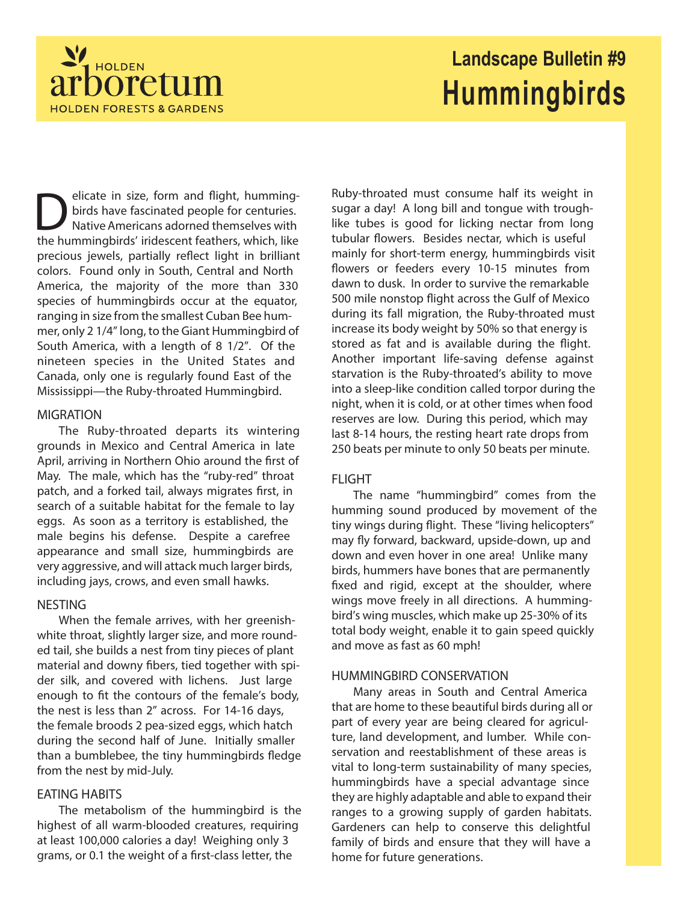

# **Landscape Bulletin #9 Hummingbirds**

**D** elicate in size, form and flight, humming-<br>birds have fascinated people for centuries.<br>the hummingbirds' iridescent feathers, which, like elicate in size, form and flight, hummingbirds have fascinated people for centuries. Native Americans adorned themselves with precious jewels, partially reflect light in brilliant colors. Found only in South, Central and North America, the majority of the more than 330 species of hummingbirds occur at the equator, ranging in size from the smallest Cuban Bee hummer, only 2 1/4" long, to the Giant Hummingbird of South America, with a length of 8 1/2". Of the nineteen species in the United States and Canada, only one is regularly found East of the Mississippi—the Ruby-throated Hummingbird.

#### **MIGRATION**

The Ruby-throated departs its wintering grounds in Mexico and Central America in late April, arriving in Northern Ohio around the first of May. The male, which has the "ruby-red" throat patch, and a forked tail, always migrates first, in search of a suitable habitat for the female to lay eggs. As soon as a territory is established, the male begins his defense. Despite a carefree appearance and small size, hummingbirds are very aggressive, and will attack much larger birds, including jays, crows, and even small hawks.

## **NESTING**

When the female arrives, with her greenishwhite throat, slightly larger size, and more rounded tail, she builds a nest from tiny pieces of plant material and downy fibers, tied together with spider silk, and covered with lichens. Just large enough to fit the contours of the female's body, the nest is less than 2" across. For 14-16 days, the female broods 2 pea-sized eggs, which hatch during the second half of June. Initially smaller than a bumblebee, the tiny hummingbirds fledge from the nest by mid-July.

#### **EATING HABITS**

The metabolism of the hummingbird is the highest of all warm-blooded creatures, requiring at least 100,000 calories a day! Weighing only 3 grams, or 0.1 the weight of a first-class letter, the

Ruby-throated must consume half its weight in sugar a day! A long bill and tongue with troughlike tubes is good for licking nectar from long tubular flowers. Besides nectar, which is useful mainly for short-term energy, hummingbirds visit flowers or feeders every 10-15 minutes from dawn to dusk. In order to survive the remarkable 500 mile nonstop flight across the Gulf of Mexico during its fall migration, the Ruby-throated must increase its body weight by 50% so that energy is stored as fat and is available during the flight. Another important life-saving defense against starvation is the Ruby-throated's ability to move into a sleep-like condition called torpor during the night, when it is cold, or at other times when food reserves are low. During this period, which may last 8-14 hours, the resting heart rate drops from 250 beats per minute to only 50 beats per minute.

## **FLIGHT**

The name "hummingbird" comes from the humming sound produced by movement of the tiny wings during flight. These "living helicopters" may fly forward, backward, upside-down, up and down and even hover in one area! Unlike many birds, hummers have bones that are permanently fixed and rigid, except at the shoulder, where wings move freely in all directions. A hummingbird's wing muscles, which make up 25-30% of its total body weight, enable it to gain speed quickly and move as fast as 60 mph!

#### **HUMMINGBIRD CONSERVATION**

Many areas in South and Central America that are home to these beautiful birds during all or part of every year are being cleared for agriculture, land development, and lumber. While conservation and reestablishment of these areas is vital to long-term sustainability of many species, hummingbirds have a special advantage since they are highly adaptable and able to expand their ranges to a growing supply of garden habitats. Gardeners can help to conserve this delightful family of birds and ensure that they will have a home for future generations.